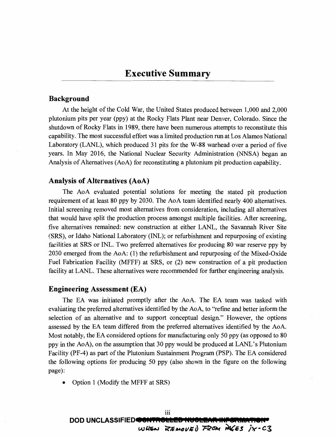# **Background**

At the height of the Cold War, the United States produced between 1,000 and 2,000 plutonium pits per year (ppy) at the Rocky Flats Plant near Denver, Colorado. Since the shutdown of Rocky Flats in 1989, there have been numerous attempts to reconstitute this capability. The most successful effort was a limited production run at Los Alamos National Laboratory (LANL), which produced 31 pits for the **W-88** warhead over a period of five years. In May 2016, the National Nuclear Security Administration (NNSA) began an Analysis of Alternatives (AoA) for reconstituting a plutonium pit production capability.

## **Analysis of Alternatives (AoA)**

The AoA evaluated potential solutions for meeting the stated pit production requirement of at least 80 ppy by 2030. The AoA team identified nearly 400 alternatives. Initial screening removed most alternatives from consideration, including all alternatives that would have split the production process amongst multiple facilities. After screening, five alternatives remained: new construction at either LANL, the Savannah River Site (SRS), or Idaho National Laboratory (INL); or refurbishment and repurposing of existing facilities at SRS or INL. Two preferred alternatives for producing 80 war reserve ppy by 2030 emerged from the AoA: (1) the refurbishment and repurposing of the Mixed-Oxide Fuel Fabrication Facility (MFFF) at SRS, or (2) new construction of a pit production facility at LANL. These alternatives were recommended for further engineering analysis.

# **Engineering Assessment (EA)**

The EA was initiated promptly after the AoA. The EA team was tasked with evaluating the preferred alternatives identified by the AoA, to "refine and better inform the selection of an alternative and to support conceptual design." However, the options assessed by the EA team differed from the preferred alternatives identified by the AoA. Most notably, the EA considered options for manufacturing only 50 ppy (as opposed to 80 ppy in the AoA), on the assumption that 30 ppy would be produced at LANL's Plutonium Facility (PF-4) as part of the Plutonium Sustainment Program (PSP). The EA considered the following options for producing 50 ppy (also shown in the figure on the following page):

• Option 1 (Modify the MFFF at SRS)

**DOD UNCLASSIFIED® WHEN** REMOVED FROM PAGES IX-C3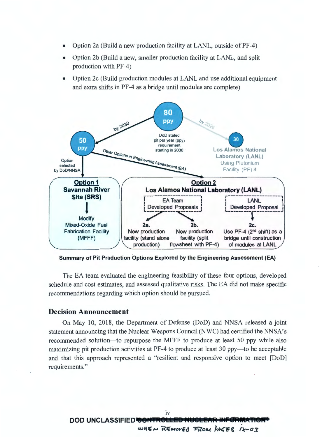- Option 2a (Build a new production facility at LANL, outside of PF-4)
- Option 2b (Build a new, smaller production facility at LANL, and split production with PF-4)
- Option 2c (Build production modules at LANL and use additional equipment and extra shifts in PF-4 as a bridge until modules are complete)



**Summary of Pit Production Options Explored by the Engineering Assessment (EA)** 

The EA team evaluated the engineering feasibility of these four options, developed schedule and cost estimates, and assessed qualitative risks. The EA did not make specific recommendations regarding which option should be pursued.

### **Decision Announcement**

On May 10, 2018, the Department of Defense (DoD) and NNSA released a joint statement announcing that the Nuclear Weapons Council (NWC) had certified the NNSA's recommended solution-to repurpose the MFFF to produce at least 50 ppy while also maximizing pit production activities at PF-4 to produce at least 30 ppy—to be acceptable and that this approach represented a "resilient and responsive option to meet [DoD] requirements."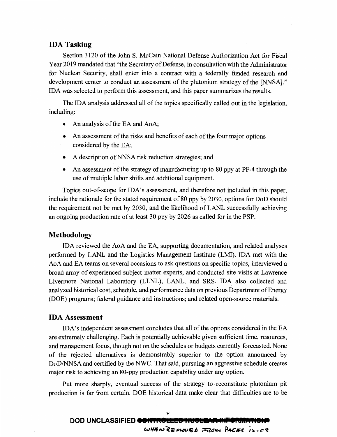# **IDA Tasking**

Section 3120 of the John S. McCain National Defense Authorization Act for Fiscal Year 2019 mandated that "the Secretary of Defense, in consultation with the Administrator for Nuclear Security, shall enter into a contract with a federally funded research and development center to conduct an assessment of the plutonium strategy of the [NNSA]." IDA was selected to perform this assessment, and this paper summarizes the results.

The IDA analysis addressed all of the topics specifically called out in the legislation, including:

- An analysis of the EA and AoA;
- An assessment of the risks and benefits of each of the four major options considered by the EA;
- A description of NNSA risk reduction strategies; and
- An assessment of the strategy of manufacturing up to 80 ppy at PF-4 through the use of multiple labor shifts and additional equipment.

Topics out-of-scope for IDA's assessment, and therefore not included in this paper, include the rationale for the stated requirement of 80 ppy by 2030, options for DoD should the requirement not be met by 2030, and the likelihood of LANL successfully achieving an ongoing production rate of at least 30 ppy by 2026 as called for in the PSP.

### **Methodology**

IDA reviewed the AoA and the EA, supporting documentation, and related analyses performed by LANL and the Logistics Management Institute (LMI). IDA met with the AoA and EA teams on several occasions to ask questions on specific topics, interviewed a broad array of experienced subject matter experts, and conducted site visits at Lawrence Livermore National Laboratory (LLNL), LANL, and SRS. IDA also collected and analyzed historical cost, schedule, and performance data on previous Department of Energy (DOE) programs; federal guidance and instructions; and related open-source materials.

### **IDA Assessment**

IDA's independent assessment concludes that all of the options considered in the EA are extremely challenging. Each is potentially achievable given sufficient time, resources, and management focus, though not on the schedules or budgets currently forecasted. None of the rejected alternatives is demonstrably superior to the option announced by DoD/NNSA and certified by the NWC. That said, pursuing an aggressive schedule creates major risk to achieving an 80-ppy production capability under any option.

Put more sharply, eventual success of the strategy to reconstitute plutonium pit production is far from certain. DOE historical data make clear that difficulties are to be

# V **DOD UNCLASSIFIED CONTIN Wff/fA,~e** *U.,t,>}5/J* ~~ **flA<E~** *j,..c't*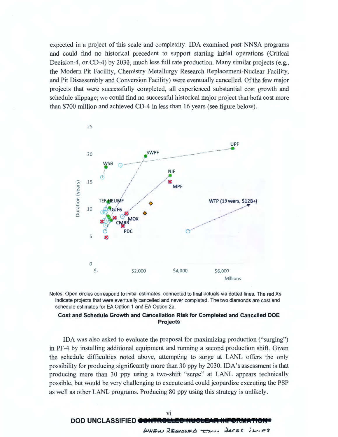expected in a project of this scale and complexity. IDA examined past NNSA programs and could find no historical precedent to support starting initial operations ( Critical Decision-4, or CD-4) by 2030, much less full rate production. Many similar projects (e.g., the Modern Pit Facility, Chemistry Metallurgy Research Replacement-Nuclear Facility, and Pit Disassembly and Conversion Facility) were eventually cancelled. Of the few major projects that were successfully completed, all experienced substantial cost growth and schedule slippage; we could find no successful historical major project that both cost more than \$700 million and achieved CD-4 in less than 16 years (see figure below).





#### **Cost and Schedule Growth and Cancellation Risk for Completed and Cancelled DOE Projects**

IDA was also asked to evaluate the proposal for maximizing production ("surging") in PF-4 by installing additional equipment and running a second production shift. Given the schedule difficulties noted above, attempting to surge at LANL offers the only possibility for producing significantly more than 30 ppy by 2030. IDA's assessment is that producing more than 30 ppy using a two-shift "surge" at LANL appears technically possible, but would be very challenging to execute and could jeopardize executing the PSP as well as other LANL programs. Producing 80 ppy using this strategy is unlikely.